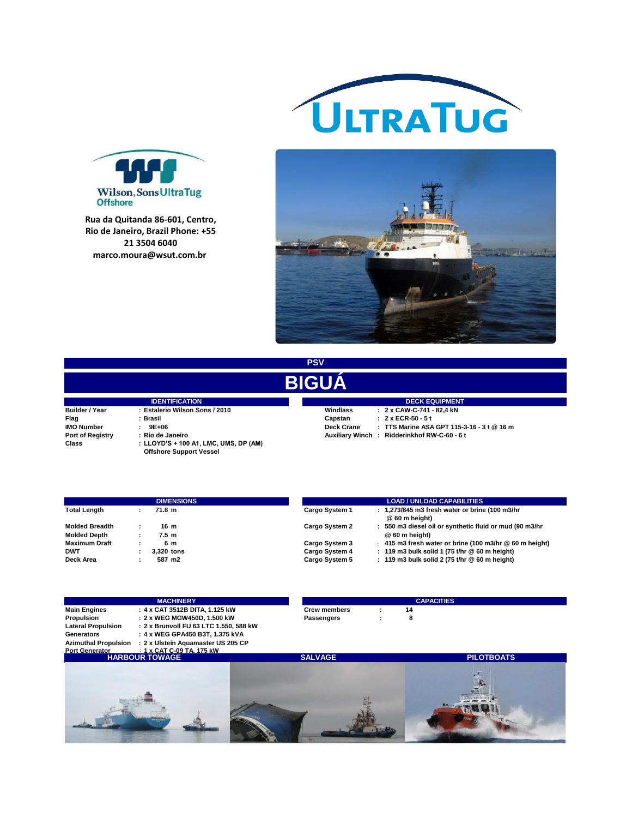



**R. Miguel de Lemos, 25 - Ponta Rua da Quitanda 86-601, Centro, D'areia, Niteroi, Rio de Janeiro, Rio de Janeiro, Brazil Phone: +55 Brazil. 21 3504 6040**



**PSV**

## **BIGUÁ**

|                       | <b>IDENTIFICATION</b>                 | <b>DECK EQUIPMEN</b> |                                         |  |  |  |
|-----------------------|---------------------------------------|----------------------|-----------------------------------------|--|--|--|
| <b>Builder / Year</b> | : Estalerio Wilson Sons / 2010        | Windlass             | : 2 x CAW-C-741 - 82,4 kN               |  |  |  |
| Flag                  | : Brasil                              | Capstan              | : 2 x ECR-50 - 5 t                      |  |  |  |
| <b>IMO Number</b>     | $: 9E+06$                             | <b>Deck Crane</b>    | : TTS Marine ASA GPT 11                 |  |  |  |
| Port of Registry      | : Rio de Janeiro                      |                      | Auxiliary Winch: Ridderinkhof RW-C-60 - |  |  |  |
| Class                 | : LLOYD'S + 100 A1, LMC, UMS, DP (AM) |                      |                                         |  |  |  |
|                       | <b>Offshore Support Vessel</b>        |                      |                                         |  |  |  |

**IMO NUMBER 19E+06.**<br> **Deck Crane : TTS Marine ASA GPT 115-3-16 - 3 t @ 16 m Auxiliary Winch : Ridderinkhof RW-C-60 - 6 t IDECK EQUIPMENT**<br>Windlass : 2 x CAW-C-741 - 82,4 kN

|                       | <b>DIMENSIONS</b> |                  | <b>LOAD / UNLOAD CAPABILITIES</b> |  |                                                                  |
|-----------------------|-------------------|------------------|-----------------------------------|--|------------------------------------------------------------------|
| <b>Total Length</b>   |                   | 71.8 m           | Cargo System 1                    |  | : 1,273/845 m3 fresh water or brine (100 m3/hr<br>@ 60 m height) |
| <b>Molded Breadth</b> |                   | 16 m             | Cargo System 2                    |  | 550 m3 diesel oil or synthetic fluid or mud (90 m3/hr            |
| <b>Molded Depth</b>   |                   | 7.5 <sub>m</sub> |                                   |  | @ 60 m height)                                                   |
| <b>Maximum Draft</b>  |                   | 6 m              | Cargo System 3                    |  | 415 m3 fresh water or brine (100 m3/hr @ 60 m height)            |
| <b>DWT</b>            |                   | 3.320 tons       | Cargo System 4                    |  | : 119 m3 bulk solid 1 (75 t/hr $@$ 60 m height)                  |
| Deck Area             |                   | 587 m2           | Cargo System 5                    |  | 119 m3 bulk solid 2 (75 t/hr @ 60 m height)                      |

|                             | <b>MACHINERY</b>                      |                     | <b>CAPACITIES</b> |  |
|-----------------------------|---------------------------------------|---------------------|-------------------|--|
| <b>Main Engines</b>         | : 4 x CAT 3512B DITA. 1.125 kW        | <b>Crew members</b> | 14                |  |
| <b>Propulsion</b>           | : 2 x WEG MGW450D, 1.500 kW           | Passengers          |                   |  |
| <b>Lateral Propulsion</b>   | :2 x Brunvoll FU 63 LTC 1.550. 588 kW |                     |                   |  |
| Generators                  | : 4 x WEG GPA450 B3T. 1.375 kVA       |                     |                   |  |
| <b>Azimuthal Propulsion</b> | : 2 x Ulstein Aguamaster US 205 CP    |                     |                   |  |